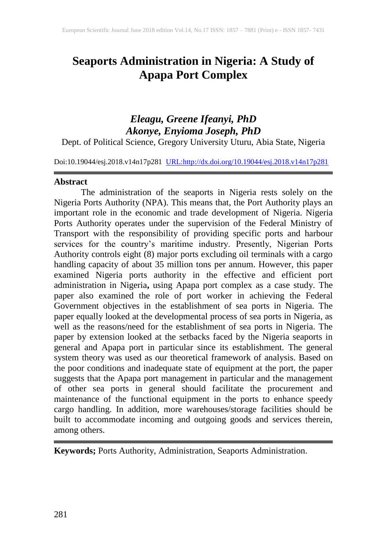# **Seaports Administration in Nigeria: A Study of Apapa Port Complex**

## *Eleagu, Greene Ifeanyi, PhD Akonye, Enyioma Joseph, PhD*

Dept. of Political Science, Gregory University Uturu, Abia State, Nigeria

Doi:10.19044/esj.2018.v14n17p281 [URL:http://dx.doi.org/10.19044/esj.2018.v14n17p281](http://dx.doi.org/10.19044/esj.2018.v14n17p281)

#### **Abstract**

The administration of the seaports in Nigeria rests solely on the Nigeria Ports Authority (NPA). This means that, the Port Authority plays an important role in the economic and trade development of Nigeria. Nigeria Ports Authority operates under the supervision of the Federal Ministry of Transport with the responsibility of providing specific ports and harbour services for the country's maritime industry. Presently, Nigerian Ports Authority controls eight (8) major ports excluding oil terminals with a cargo handling capacity of about 35 million tons per annum. However, this paper examined Nigeria ports authority in the effective and efficient port administration in Nigeria**,** using Apapa port complex as a case study. The paper also examined the role of port worker in achieving the Federal Government objectives in the establishment of sea ports in Nigeria. The paper equally looked at the developmental process of sea ports in Nigeria, as well as the reasons/need for the establishment of sea ports in Nigeria. The paper by extension looked at the setbacks faced by the Nigeria seaports in general and Apapa port in particular since its establishment. The general system theory was used as our theoretical framework of analysis. Based on the poor conditions and inadequate state of equipment at the port, the paper suggests that the Apapa port management in particular and the management of other sea ports in general should facilitate the procurement and maintenance of the functional equipment in the ports to enhance speedy cargo handling. In addition, more warehouses/storage facilities should be built to accommodate incoming and outgoing goods and services therein, among others.

**Keywords;** Ports Authority, Administration, Seaports Administration.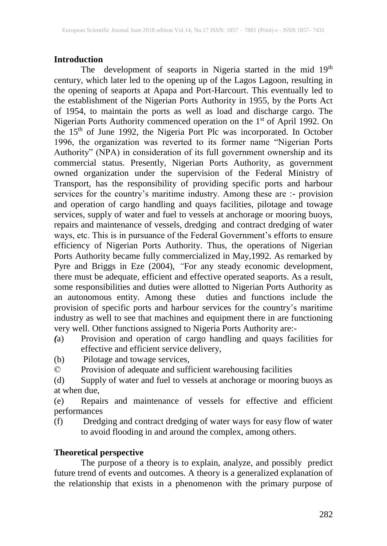#### **Introduction**

The development of seaports in Nigeria started in the mid 19<sup>th</sup> century, which later led to the opening up of the Lagos Lagoon, resulting in the opening of seaports at Apapa and Port-Harcourt. This eventually led to the establishment of the Nigerian Ports Authority in 1955, by the Ports Act of 1954, to maintain the ports as well as load and discharge cargo. The Nigerian Ports Authority commenced operation on the 1<sup>st</sup> of April 1992. On the 15<sup>th</sup> of June 1992, the Nigeria Port Plc was incorporated. In October 1996, the organization was reverted to its former name "Nigerian Ports Authority" (NPA) in consideration of its full government ownership and its commercial status. Presently, Nigerian Ports Authority, as government owned organization under the supervision of the Federal Ministry of Transport, has the responsibility of providing specific ports and harbour services for the country's maritime industry. Among these are :- provision and operation of cargo handling and quays facilities, pilotage and towage services, supply of water and fuel to vessels at anchorage or mooring buoys, repairs and maintenance of vessels, dredging and contract dredging of water ways, etc. This is in pursuance of the Federal Government's efforts to ensure efficiency of Nigerian Ports Authority. Thus, the operations of Nigerian Ports Authority became fully commercialized in May,1992. As remarked by Pyre and Briggs in Eze (2004), *"*For any steady economic development, there must be adequate, efficient and effective operated seaports. As a result, some responsibilities and duties were allotted to Nigerian Ports Authority as an autonomous entity. Among these duties and functions include the provision of specific ports and harbour services for the country's maritime industry as well to see that machines and equipment there in are functioning very well. Other functions assigned to Nigeria Ports Authority are:-

- *(*a) Provision and operation of cargo handling and quays facilities for effective and efficient service delivery,
- (b) Pilotage and towage services,
- © Provision of adequate and sufficient warehousing facilities

(d) Supply of water and fuel to vessels at anchorage or mooring buoys as at when due,

(e) Repairs and maintenance of vessels for effective and efficient performances

(f) Dredging and contract dredging of water ways for easy flow of water to avoid flooding in and around the complex, among others.

#### **Theoretical perspective**

The purpose of a theory is to explain, analyze, and possibly predict future trend of events and outcomes. A theory is a generalized explanation of the relationship that exists in a phenomenon with the primary purpose of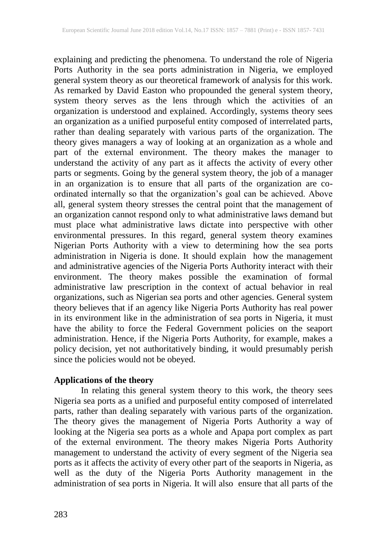explaining and predicting the phenomena. To understand the role of Nigeria Ports Authority in the sea ports administration in Nigeria, we employed general system theory as our theoretical framework of analysis for this work. As remarked by David Easton who propounded the general system theory, system theory serves as the lens through which the activities of an organization is understood and explained. Accordingly, systems theory sees an organization as a unified purposeful entity composed of interrelated parts, rather than dealing separately with various parts of the organization. The theory gives managers a way of looking at an organization as a whole and part of the external environment. The theory makes the manager to understand the activity of any part as it affects the activity of every other parts or segments. Going by the general system theory, the job of a manager in an organization is to ensure that all parts of the organization are coordinated internally so that the organization's goal can be achieved. Above all, general system theory stresses the central point that the management of an organization cannot respond only to what administrative laws demand but must place what administrative laws dictate into perspective with other environmental pressures. In this regard, general system theory examines Nigerian Ports Authority with a view to determining how the sea ports administration in Nigeria is done. It should explain how the management and administrative agencies of the Nigeria Ports Authority interact with their environment. The theory makes possible the examination of formal administrative law prescription in the context of actual behavior in real organizations, such as Nigerian sea ports and other agencies. General system theory believes that if an agency like Nigeria Ports Authority has real power in its environment like in the administration of sea ports in Nigeria, it must have the ability to force the Federal Government policies on the seaport administration. Hence, if the Nigeria Ports Authority, for example, makes a policy decision, yet not authoritatively binding, it would presumably perish since the policies would not be obeyed.

## **Applications of the theory**

In relating this general system theory to this work, the theory sees Nigeria sea ports as a unified and purposeful entity composed of interrelated parts, rather than dealing separately with various parts of the organization. The theory gives the management of Nigeria Ports Authority a way of looking at the Nigeria sea ports as a whole and Apapa port complex as part of the external environment. The theory makes Nigeria Ports Authority management to understand the activity of every segment of the Nigeria sea ports as it affects the activity of every other part of the seaports in Nigeria, as well as the duty of the Nigeria Ports Authority management in the administration of sea ports in Nigeria. It will also ensure that all parts of the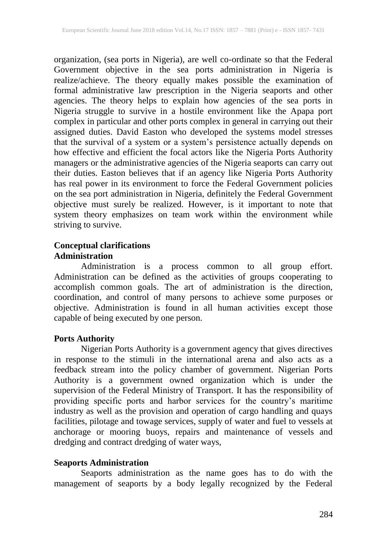organization, (sea ports in Nigeria), are well co-ordinate so that the Federal Government objective in the sea ports administration in Nigeria is realize/achieve. The theory equally makes possible the examination of formal administrative law prescription in the Nigeria seaports and other agencies. The theory helps to explain how agencies of the sea ports in Nigeria struggle to survive in a hostile environment like the Apapa port complex in particular and other ports complex in general in carrying out their assigned duties. David Easton who developed the systems model stresses that the survival of a system or a system's persistence actually depends on how effective and efficient the focal actors like the Nigeria Ports Authority managers or the administrative agencies of the Nigeria seaports can carry out their duties. Easton believes that if an agency like Nigeria Ports Authority has real power in its environment to force the Federal Government policies on the sea port administration in Nigeria, definitely the Federal Government objective must surely be realized. However, is it important to note that system theory emphasizes on team work within the environment while striving to survive.

## **Conceptual clarifications Administration**

Administration is a process common to all group effort. Administration can be defined as the activities of groups cooperating to accomplish common goals. The art of administration is the direction, coordination, and control of many persons to achieve some purposes or objective. Administration is found in all human activities except those capable of being executed by one person.

#### **Ports Authority**

Nigerian Ports Authority is a government agency that gives directives in response to the stimuli in the international arena and also acts as a feedback stream into the policy chamber of government. Nigerian Ports Authority is a government owned organization which is under the supervision of the Federal Ministry of Transport. It has the responsibility of providing specific ports and harbor services for the country's maritime industry as well as the provision and operation of cargo handling and quays facilities, pilotage and towage services, supply of water and fuel to vessels at anchorage or mooring buoys, repairs and maintenance of vessels and dredging and contract dredging of water ways,

#### **Seaports Administration**

Seaports administration as the name goes has to do with the management of seaports by a body legally recognized by the Federal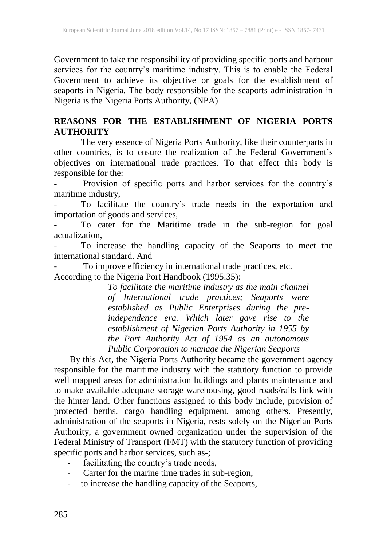Government to take the responsibility of providing specific ports and harbour services for the country's maritime industry. This is to enable the Federal Government to achieve its objective or goals for the establishment of seaports in Nigeria. The body responsible for the seaports administration in Nigeria is the Nigeria Ports Authority, (NPA)

## **REASONS FOR THE ESTABLISHMENT OF NIGERIA PORTS AUTHORITY**

The very essence of Nigeria Ports Authority, like their counterparts in other countries, is to ensure the realization of the Federal Government's objectives on international trade practices. To that effect this body is responsible for the:

Provision of specific ports and harbor services for the country's maritime industry,

- To facilitate the country's trade needs in the exportation and importation of goods and services,

- To cater for the Maritime trade in the sub-region for goal actualization,

To increase the handling capacity of the Seaports to meet the international standard. And

- To improve efficiency in international trade practices, etc. According to the Nigeria Port Handbook (1995:35):

> *To facilitate the maritime industry as the main channel of International trade practices; Seaports were established as Public Enterprises during the preindependence era. Which later gave rise to the establishment of Nigerian Ports Authority in 1955 by the Port Authority Act of 1954 as an autonomous Public Corporation to manage the Nigerian Seaports*

By this Act, the Nigeria Ports Authority became the government agency responsible for the maritime industry with the statutory function to provide well mapped areas for administration buildings and plants maintenance and to make available adequate storage warehousing, good roads/rails link with the hinter land. Other functions assigned to this body include, provision of protected berths, cargo handling equipment, among others. Presently, administration of the seaports in Nigeria, rests solely on the Nigerian Ports Authority, a government owned organization under the supervision of the Federal Ministry of Transport (FMT) with the statutory function of providing specific ports and harbor services, such as-;

- facilitating the country's trade needs,
- Carter for the marine time trades in sub-region,
- to increase the handling capacity of the Seaports,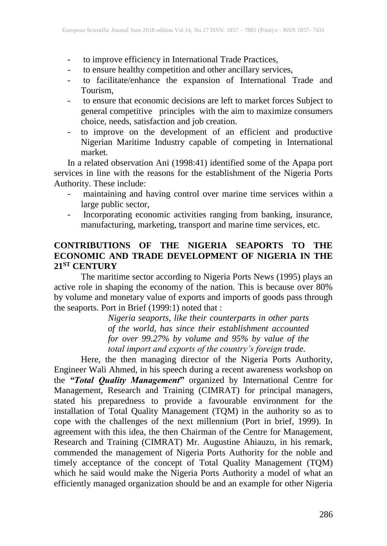- to improve efficiency in International Trade Practices,
- to ensure healthy competition and other ancillary services,
- to facilitate/enhance the expansion of International Trade and Tourism*,*
- to ensure that economic decisions are left to market forces Subject to general competitive principles with the aim to maximize consumers choice, needs, satisfaction and job creation.
- to improve on the development of an efficient and productive Nigerian Maritime Industry capable of competing in International market*.*

In a related observation Ani (1998:41) identified some of the Apapa port services in line with the reasons for the establishment of the Nigeria Ports Authority. These include:

- maintaining and having control over marine time services within a large public sector,
- Incorporating economic activities ranging from banking, insurance, manufacturing, marketing, transport and marine time services, etc.

#### **CONTRIBUTIONS OF THE NIGERIA SEAPORTS TO THE ECONOMIC AND TRADE DEVELOPMENT OF NIGERIA IN THE 21ST CENTURY**

The maritime sector according to Nigeria Ports News (1995) plays an active role in shaping the economy of the nation. This is because over 80% by volume and monetary value of exports and imports of goods pass through the seaports. Port in Brief (1999:1) noted that :

> *Nigeria seaports, like their counterparts in other parts of the world, has since their establishment accounted for over 99.27% by volume and 95% by value of the total import and exports of the country's foreign trade.*

Here, the then managing director of the Nigeria Ports Authority, Engineer Wali Ahmed, in his speech during a recent awareness workshop on the *"Total Quality Management***"** organized by International Centre for Management, Research and Training (CIMRAT) for principal managers, stated his preparedness to provide a favourable environment for the installation of Total Quality Management (TQM) in the authority so as to cope with the challenges of the next millennium (Port in brief, 1999). In agreement with this idea, the then Chairman of the Centre for Management, Research and Training (CIMRAT) Mr. Augustine Ahiauzu, in his remark, commended the management of Nigeria Ports Authority for the noble and timely acceptance of the concept of Total Quality Management (TQM) which he said would make the Nigeria Ports Authority a model of what an efficiently managed organization should be and an example for other Nigeria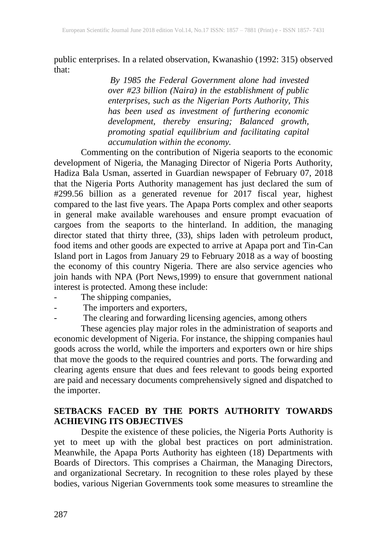public enterprises. In a related observation, Kwanashio (1992: 315) observed that:

> *By 1985 the Federal Government alone had invested over #23 billion (Naira) in the establishment of public enterprises, such as the Nigerian Ports Authority, This has been used as investment of furthering economic development, thereby ensuring; Balanced growth, promoting spatial equilibrium and facilitating capital accumulation within the economy.*

Commenting on the contribution of Nigeria seaports to the economic development of Nigeria, the Managing Director of Nigeria Ports Authority, Hadiza Bala Usman, asserted in Guardian newspaper of February 07, 2018 that the Nigeria Ports Authority management has just declared the sum of #299.56 billion as a generated revenue for 2017 fiscal year, highest compared to the last five years. The Apapa Ports complex and other seaports in general make available warehouses and ensure prompt evacuation of cargoes from the seaports to the hinterland. In addition, the managing director stated that thirty three, (33), ships laden with petroleum product, food items and other goods are expected to arrive at Apapa port and Tin-Can Island port in Lagos from January 29 to February 2018 as a way of boosting the economy of this country Nigeria. There are also service agencies who join hands with NPA (Port News,1999) to ensure that government national interest is protected. Among these include:

- The shipping companies,
- The importers and exporters,
- The clearing and forwarding licensing agencies, among others

These agencies play major roles in the administration of seaports and economic development of Nigeria. For instance, the shipping companies haul goods across the world, while the importers and exporters own or hire ships that move the goods to the required countries and ports. The forwarding and clearing agents ensure that dues and fees relevant to goods being exported are paid and necessary documents comprehensively signed and dispatched to the importer.

#### **SETBACKS FACED BY THE PORTS AUTHORITY TOWARDS ACHIEVING ITS OBJECTIVES**

Despite the existence of these policies, the Nigeria Ports Authority is yet to meet up with the global best practices on port administration. Meanwhile, the Apapa Ports Authority has eighteen (18) Departments with Boards of Directors. This comprises a Chairman, the Managing Directors, and organizational Secretary. In recognition to these roles played by these bodies, various Nigerian Governments took some measures to streamline the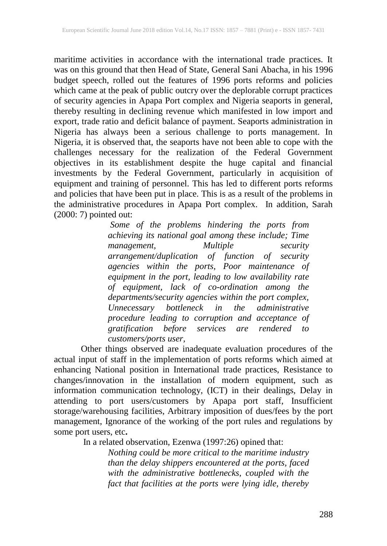maritime activities in accordance with the international trade practices. It was on this ground that then Head of State, General Sani Abacha, in his 1996 was on this ground that then Head of State, General Sani Abacha, in his 1996 budget speech, rolled out the features of 1996 ports reforms and policies which came at the peak of public outcry over the deplorable corrupt practices of security agencies in Apapa Port complex and Nigeria seaports in general, thereby resulting in declining revenue which manifested in low import and export, trade ratio and deficit balance of payment. Seaports administration in Nigeria has always been a serious challenge to ports management. In Nigeria, it is observed that, the seaports have not been able to cope with the challenges necessary for the realization of the Federal Government objectives in its establishment despite the huge capital and financial investments by the Federal Government, particularly in acquisition of equipment and training of personnel. This has led to different ports reforms and policies that have been put in place. This is as a result of the problems in the administrative procedures in Apapa Port complex. In addition, Sarah (2000: 7) pointed out:

> *Some of the problems hindering the ports from achieving its national goal among these include; Time management, Multiple security arrangement/duplication of function of security agencies within the ports, Poor maintenance of equipment in the port, leading to low availability rate of equipment, lack of co-ordination among the departments/security agencies within the port complex, bottleneck in the administrative procedure leading to corruption and acceptance of gratification before services are rendered to customers/ports user,*

Other things observed are inadequate evaluation procedures of the actual input of staff in the implementation of ports reforms which aimed at enhancing National position in International trade practices, Resistance to changes/innovation in the installation of modern equipment, such as information communication technology, (ICT) in their dealings, Delay in attending to port users/customers by Apapa port staff, Insufficient storage/warehousing facilities, Arbitrary imposition of dues/fees by the port management, Ignorance of the working of the port rules and regulations by some port users, etc**.**

In a related observation, Ezenwa (1997:26) opined that:

*Nothing could be more critical to the maritime industry than the delay shippers encountered at the ports, faced with the administrative bottlenecks, coupled with the fact that facilities at the ports were lying idle, thereby*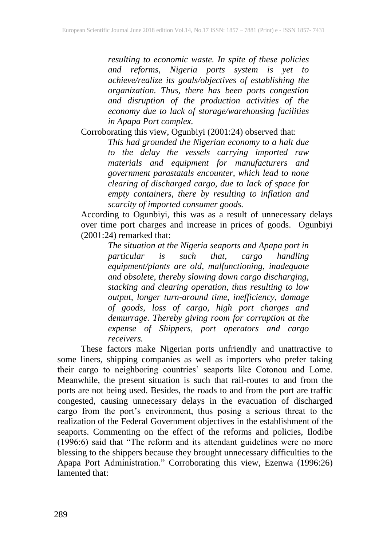*resulting to economic waste. In spite of these policies and reforms, Nigeria ports system is yet to achieve/realize its goals/objectives of establishing the organization. Thus, there has been ports congestion and disruption of the production activities of the economy due to lack of storage/warehousing facilities in Apapa Port complex.*

Corroborating this view, Ogunbiyi (2001:24) observed that:

*This had grounded the Nigerian economy to a halt due to the delay the vessels carrying imported raw materials and equipment for manufacturers and government parastatals encounter, which lead to none clearing of discharged cargo, due to lack of space for empty containers, there by resulting to inflation and scarcity of imported consumer goods.* 

According to Ogunbiyi, this was as a result of unnecessary delays over time port charges and increase in prices of goods. Ogunbiyi (2001:24) remarked that:

> *The situation at the Nigeria seaports and Apapa port in particular is such that, cargo handling equipment/plants are old, malfunctioning, inadequate and obsolete, thereby slowing down cargo discharging, stacking and clearing operation, thus resulting to low output, longer turn-around time, inefficiency, damage of goods, loss of cargo, high port charges and demurrage. Thereby giving room for corruption at the expense of Shippers, port operators and cargo receivers.*

These factors make Nigerian ports unfriendly and unattractive to some liners, shipping companies as well as importers who prefer taking their cargo to neighboring countries' seaports like Cotonou and Lome. Meanwhile, the present situation is such that rail-routes to and from the ports are not being used. Besides, the roads to and from the port are traffic congested, causing unnecessary delays in the evacuation of discharged cargo from the port's environment, thus posing a serious threat to the realization of the Federal Government objectives in the establishment of the seaports. Commenting on the effect of the reforms and policies, Ilodibe (1996:6) said that "The reform and its attendant guidelines were no more blessing to the shippers because they brought unnecessary difficulties to the Apapa Port Administration." Corroborating this view, Ezenwa (1996:26) lamented that: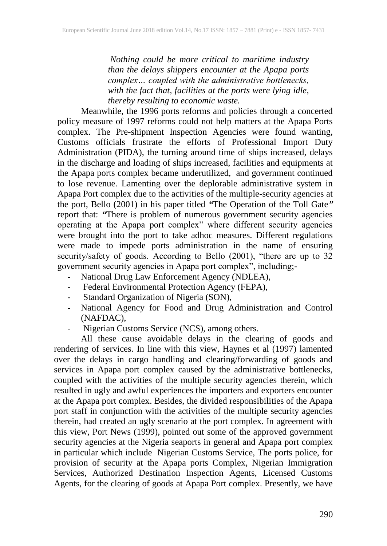*Nothing could be more critical to maritime industry than the delays shippers encounter at the Apapa ports complex… coupled with the administrative bottlenecks, with the fact that, facilities at the ports were lying idle, thereby resulting to economic waste.* 

Meanwhile, the 1996 ports reforms and policies through a concerted policy measure of 1997 reforms could not help matters at the Apapa Ports complex. The Pre-shipment Inspection Agencies were found wanting, Customs officials frustrate the efforts of Professional Import Duty Administration (PIDA), the turning around time of ships increased, delays in the discharge and loading of ships increased, facilities and equipments at the Apapa ports complex became underutilized, and government continued to lose revenue. Lamenting over the deplorable administrative system in Apapa Port complex due to the activities of the multiple-security agencies at the port, Bello (2001) in his paper titled *"*The Operation of the Toll Gate*"* report that: *"*There is problem of numerous government security agencies operating at the Apapa port complex" where different security agencies were brought into the port to take adhoc measures. Different regulations were made to impede ports administration in the name of ensuring security/safety of goods. According to Bello (2001), "there are up to 32 government security agencies in Apapa port complex", including;-

- National Drug Law Enforcement Agency (NDLEA),
- Federal Environmental Protection Agency (FEPA),
- Standard Organization of Nigeria (SON),
- National Agency for Food and Drug Administration and Control (NAFDAC),
- Nigerian Customs Service (NCS), among others.

All these cause avoidable delays in the clearing of goods and rendering of services. In line with this view, Haynes et al (1997) lamented over the delays in cargo handling and clearing/forwarding of goods and services in Apapa port complex caused by the administrative bottlenecks, coupled with the activities of the multiple security agencies therein, which resulted in ugly and awful experiences the importers and exporters encounter at the Apapa port complex. Besides, the divided responsibilities of the Apapa port staff in conjunction with the activities of the multiple security agencies therein, had created an ugly scenario at the port complex. In agreement with this view, Port News (1999), pointed out some of the approved government security agencies at the Nigeria seaports in general and Apapa port complex in particular which include Nigerian Customs Service, The ports police, for provision of security at the Apapa ports Complex, Nigerian Immigration Services, Authorized Destination Inspection Agents, Licensed Customs Agents, for the clearing of goods at Apapa Port complex. Presently, we have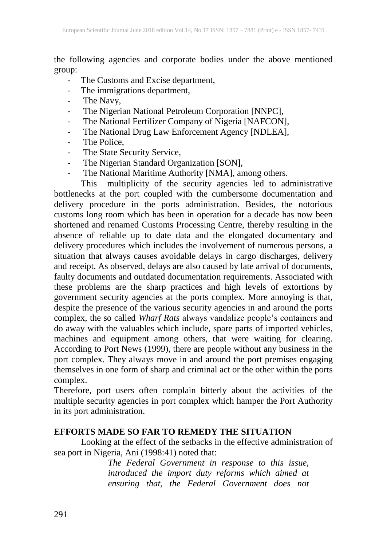the following agencies and corporate bodies under the above mentioned group:

- The Customs and Excise department,
- The immigrations department,
- The Navy,
- The Nigerian National Petroleum Corporation [NNPC],
- The National Fertilizer Company of Nigeria [NAFCON],
- The National Drug Law Enforcement Agency [NDLEA],
- The Police,
- The State Security Service,
- The Nigerian Standard Organization [SON],
- The National Maritime Authority [NMA], among others.

This multiplicity of the security agencies led to administrative bottlenecks at the port coupled with the cumbersome documentation and delivery procedure in the ports administration. Besides, the notorious customs long room which has been in operation for a decade has now been shortened and renamed Customs Processing Centre, thereby resulting in the absence of reliable up to date data and the elongated documentary and delivery procedures which includes the involvement of numerous persons, a situation that always causes avoidable delays in cargo discharges, delivery and receipt. As observed, delays are also caused by late arrival of documents, faulty documents and outdated documentation requirements. Associated with these problems are the sharp practices and high levels of extortions by government security agencies at the ports complex. More annoying is that, despite the presence of the various security agencies in and around the ports complex, the so called *Wharf Rats* always vandalize people's containers and do away with the valuables which include, spare parts of imported vehicles, machines and equipment among others, that were waiting for clearing. According to Port News (1999), there are people without any business in the port complex. They always move in and around the port premises engaging themselves in one form of sharp and criminal act or the other within the ports complex.

Therefore, port users often complain bitterly about the activities of the multiple security agencies in port complex which hamper the Port Authority in its port administration.

#### **EFFORTS MADE SO FAR TO REMEDY THE SITUATION**

Looking at the effect of the setbacks in the effective administration of sea port in Nigeria, Ani (1998:41) noted that:

*The Federal Government in response to this issue, introduced the import duty reforms which aimed at ensuring that, the Federal Government does not*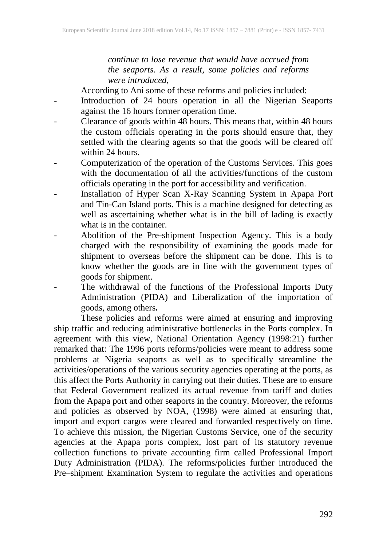*continue to lose revenue that would have accrued from the seaports. As a result, some policies and reforms were introduced,* 

According to Ani some of these reforms and policies included:

- Introduction of 24 hours operation in all the Nigerian Seaports against the 16 hours former operation time.
- Clearance of goods within 48 hours. This means that, within 48 hours the custom officials operating in the ports should ensure that, they settled with the clearing agents so that the goods will be cleared off within 24 hours.
- Computerization of the operation of the Customs Services. This goes with the documentation of all the activities/functions of the custom officials operating in the port for accessibility and verification.
- Installation of Hyper Scan X-Ray Scanning System in Apapa Port and Tin-Can Island ports. This is a machine designed for detecting as well as ascertaining whether what is in the bill of lading is exactly what is in the container.
- Abolition of the Pre-shipment Inspection Agency. This is a body charged with the responsibility of examining the goods made for shipment to overseas before the shipment can be done. This is to know whether the goods are in line with the government types of goods for shipment.
- The withdrawal of the functions of the Professional Imports Duty Administration (PIDA) and Liberalization of the importation of goods, among others*.*

These policies and reforms were aimed at ensuring and improving ship traffic and reducing administrative bottlenecks in the Ports complex. In agreement with this view, National Orientation Agency (1998:21) further remarked that: The 1996 ports reforms/policies were meant to address some problems at Nigeria seaports as well as to specifically streamline the activities/operations of the various security agencies operating at the ports, as this affect the Ports Authority in carrying out their duties. These are to ensure that Federal Government realized its actual revenue from tariff and duties from the Apapa port and other seaports in the country. Moreover, the reforms and policies as observed by NOA, (1998) were aimed at ensuring that*,*  import and export cargos were cleared and forwarded respectively on time*.*  To achieve this mission, the Nigerian Customs Service, one of the security agencies at the Apapa ports complex, lost part of its statutory revenue collection functions to private accounting firm called Professional Import Duty Administration (PIDA). The reforms/policies further introduced the Pre–shipment Examination System to regulate the activities and operations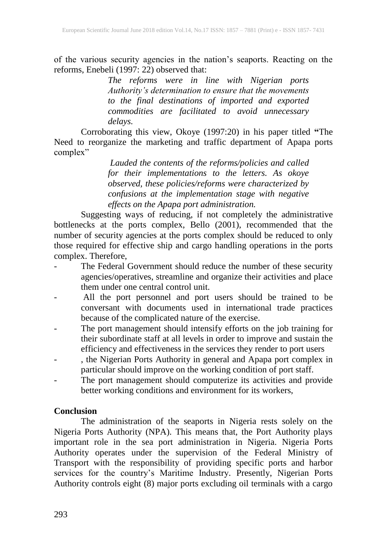of the various security agencies in the nation's seaports. Reacting on the reforms, Enebeli (1997: 22) observed that:

> *The reforms were in line with Nigerian ports Authority's determination to ensure that the movements to the final destinations of imported and exported commodities are facilitated to avoid unnecessary delays.*

Corroborating this view, Okoye (1997:20) in his paper titled **"**The Need to reorganize the marketing and traffic department of Apapa ports complex"

> *Lauded the contents of the reforms/policies and called for their implementations to the letters. As okoye observed, these policies/reforms were characterized by confusions at the implementation stage with negative effects on the Apapa port administration.*

Suggesting ways of reducing, if not completely the administrative bottlenecks at the ports complex, Bello (2001), recommended that the number of security agencies at the ports complex should be reduced to only those required for effective ship and cargo handling operations in the ports complex. Therefore,

- The Federal Government should reduce the number of these security agencies/operatives, streamline and organize their activities and place them under one central control unit.
- All the port personnel and port users should be trained to be conversant with documents used in international trade practices because of the complicated nature of the exercise.
- The port management should intensify efforts on the job training for their subordinate staff at all levels in order to improve and sustain the efficiency and effectiveness in the services they render to port users
- , the Nigerian Ports Authority in general and Apapa port complex in particular should improve on the working condition of port staff.
- The port management should computerize its activities and provide better working conditions and environment for its workers,

#### **Conclusion**

The administration of the seaports in Nigeria rests solely on the Nigeria Ports Authority (NPA). This means that, the Port Authority plays important role in the sea port administration in Nigeria. Nigeria Ports Authority operates under the supervision of the Federal Ministry of Transport with the responsibility of providing specific ports and harbor services for the country's Maritime Industry. Presently, Nigerian Ports Authority controls eight (8) major ports excluding oil terminals with a cargo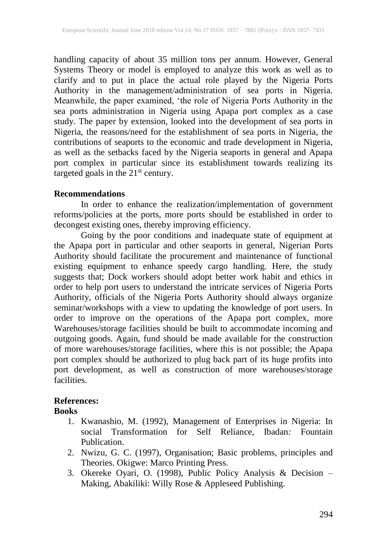handling capacity of about 35 million tons per annum. However, General Systems Theory or model is employed to analyze this work as well as to clarify and to put in place the actual role played by the Nigeria Ports Authority in the management/administration of sea ports in Nigeria. Meanwhile, the paper examined, 'the role of Nigeria Ports Authority in the sea ports administration in Nigeria using Apapa port complex as a case study. The paper by extension, looked into the development of sea ports in Nigeria, the reasons/need for the establishment of sea ports in Nigeria, the contributions of seaports to the economic and trade development in Nigeria, as well as the setbacks faced by the Nigeria seaports in general and Apapa port complex in particular since its establishment towards realizing its targeted goals in the  $21<sup>st</sup>$  century.

#### **Recommendations**

In order to enhance the realization/implementation of government reforms/policies at the ports, more ports should be established in order to decongest existing ones, thereby improving efficiency.

Going by the poor conditions and inadequate state of equipment at the Apapa port in particular and other seaports in general, Nigerian Ports Authority should facilitate the procurement and maintenance of functional existing equipment to enhance speedy cargo handling. Here, the study suggests that; Dock workers should adopt better work habit and ethics in order to help port users to understand the intricate services of Nigeria Ports Authority, officials of the Nigeria Ports Authority should always organize seminar/workshops with a view to updating the knowledge of port users. In order to improve on the operations of the Apapa port complex, more Warehouses/storage facilities should be built to accommodate incoming and outgoing goods. Again, fund should be made available for the construction of more warehouses/storage facilities, where this is not possible; the Apapa port complex should be authorized to plug back part of its huge profits into port development, as well as construction of more warehouses/storage facilities.

## **References:**

#### **Books**

- 1. Kwanashio, M. (1992), Management of Enterprises in Nigeria: In social Transformation for Self Reliance, Ibadan*:* Fountain Publication.
- 2. Nwizu*,* G. C. (1997), Organisation; Basic problems, principles and Theories. Okigwe: Marco Printing Press.
- 3. Okereke Oyari, O. (1998), Public Policy Analysis & Decision Making, Abakiliki: Willy Rose & Appleseed Publishing.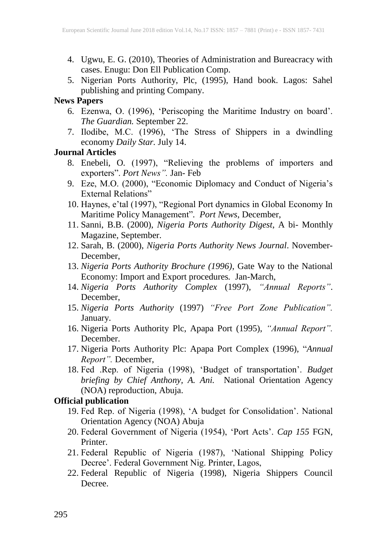- 4. Ugwu, E. G. (2010), Theories of Administration and Bureacracy with cases. Enugu: Don Ell Publication Comp.
- 5. Nigerian Ports Authority, Plc, (1995), Hand book. Lagos: Sahel publishing and printing Company.

# **News Papers**

- 6. Ezenwa, O. (1996), 'Periscoping the Maritime Industry on board'. *The Guardian.* September 22.
- 7. Ilodibe, M.C. (1996), 'The Stress of Shippers in a dwindling economy *Daily Star.* July 14.

## **Journal Articles**

- 8. Enebeli, O*.* (1997), "Relieving the problems of importers and exporters". *Port News".* Jan- Feb
- 9. Eze, M.O. (2000), "Economic Diplomacy and Conduct of Nigeria's External Relations"
- 10. Haynes, e'tal (1997), "Regional Port dynamics in Global Economy In Maritime Policy Management"*. Port News*, December,
- 11. Sanni, B.B. (2000), *Nigeria Ports Authority Digest*, A bi- Monthly Magazine, September.
- 12. Sarah, B. (2000), *Nigeria Ports Authority News Journal*. November-December,
- 13. *Nigeria Ports Authority Brochure (1996)*, Gate Way to the National Economy: Import and Export procedures*.* Jan-March,
- 14. *Nigeria Ports Authority Complex* (1997), *"Annual Reports"*. December,
- 15. *Nigeria Ports Authority* (1997) *"Free Port Zone Publication".*  January.
- 16. Nigeria Ports Authority Plc, Apapa Port (1995), *"Annual Report".*  December.
- 17. Nigeria Ports Authority Plc: Apapa Port Complex (1996), "*Annual Report".* December,
- 18. Fed .Rep. of Nigeria (1998), 'Budget of transportation'. *Budget briefing by Chief Anthony, A. Ani.* National Orientation Agency (NOA) reproduction, Abuja.

## **Official publication**

- 19. Fed Rep. of Nigeria (1998), 'A budget for Consolidation'. National Orientation Agency (NOA) Abuja
- 20. Federal Government of Nigeria (1954), 'Port Acts'. *Cap 155* FGN, Printer.
- 21. Federal Republic of Nigeria (1987), 'National Shipping Policy Decree'. Federal Government Nig. Printer, Lagos,
- 22. Federal Republic of Nigeria (1998), Nigeria Shippers Council Decree.